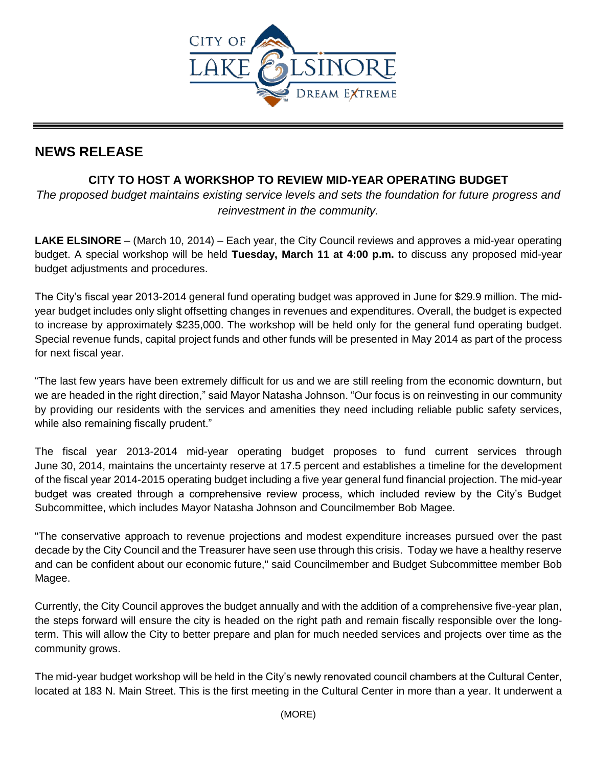

## **NEWS RELEASE**

## **CITY TO HOST A WORKSHOP TO REVIEW MID-YEAR OPERATING BUDGET**

*The proposed budget maintains existing service levels and sets the foundation for future progress and reinvestment in the community.* 

**LAKE ELSINORE** – (March 10, 2014) – Each year, the City Council reviews and approves a mid-year operating budget. A special workshop will be held **Tuesday, March 11 at 4:00 p.m.** to discuss any proposed mid-year budget adjustments and procedures.

The City's fiscal year 2013-2014 general fund operating budget was approved in June for \$29.9 million. The midyear budget includes only slight offsetting changes in revenues and expenditures. Overall, the budget is expected to increase by approximately \$235,000. The workshop will be held only for the general fund operating budget. Special revenue funds, capital project funds and other funds will be presented in May 2014 as part of the process for next fiscal year.

"The last few years have been extremely difficult for us and we are still reeling from the economic downturn, but we are headed in the right direction," said Mayor Natasha Johnson. "Our focus is on reinvesting in our community by providing our residents with the services and amenities they need including reliable public safety services, while also remaining fiscally prudent."

The fiscal year 2013-2014 mid-year operating budget proposes to fund current services through June 30, 2014, maintains the uncertainty reserve at 17.5 percent and establishes a timeline for the development of the fiscal year 2014-2015 operating budget including a five year general fund financial projection. The mid-year budget was created through a comprehensive review process, which included review by the City's Budget Subcommittee, which includes Mayor Natasha Johnson and Councilmember Bob Magee.

"The conservative approach to revenue projections and modest expenditure increases pursued over the past decade by the City Council and the Treasurer have seen use through this crisis. Today we have a healthy reserve and can be confident about our economic future," said Councilmember and Budget Subcommittee member Bob Magee.

Currently, the City Council approves the budget annually and with the addition of a comprehensive five-year plan, the steps forward will ensure the city is headed on the right path and remain fiscally responsible over the longterm. This will allow the City to better prepare and plan for much needed services and projects over time as the community grows.

The mid-year budget workshop will be held in the City's newly renovated council chambers at the Cultural Center, located at 183 N. Main Street. This is the first meeting in the Cultural Center in more than a year. It underwent a